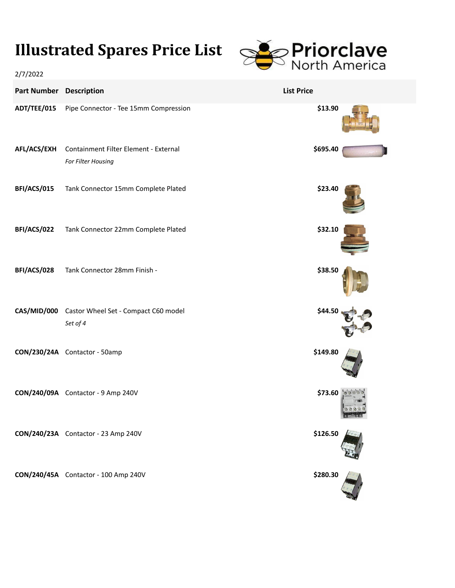## **Illustrated Spares Price List**



| 2/7/2022                       |                                                              | .                 |
|--------------------------------|--------------------------------------------------------------|-------------------|
| <b>Part Number Description</b> |                                                              | <b>List Price</b> |
| ADT/TEE/015                    | Pipe Connector - Tee 15mm Compression                        | \$13.90           |
| AFL/ACS/EXH                    | Containment Filter Element - External<br>For Filter Housing  | \$695.40          |
| BFI/ACS/015                    | Tank Connector 15mm Complete Plated                          | \$23.40           |
| BFI/ACS/022                    | Tank Connector 22mm Complete Plated                          | \$32.10           |
| BFI/ACS/028                    | Tank Connector 28mm Finish -                                 | \$38.50           |
|                                | CAS/MID/000 Castor Wheel Set - Compact C60 model<br>Set of 4 | \$44.5            |
|                                | CON/230/24A Contactor - 50amp                                | \$149.80          |
|                                | CON/240/09A Contactor - 9 Amp 240V                           | \$73.60           |
|                                | CON/240/23A Contactor - 23 Amp 240V                          | \$126.50          |
|                                | CON/240/45A Contactor - 100 Amp 240V                         | \$280.30          |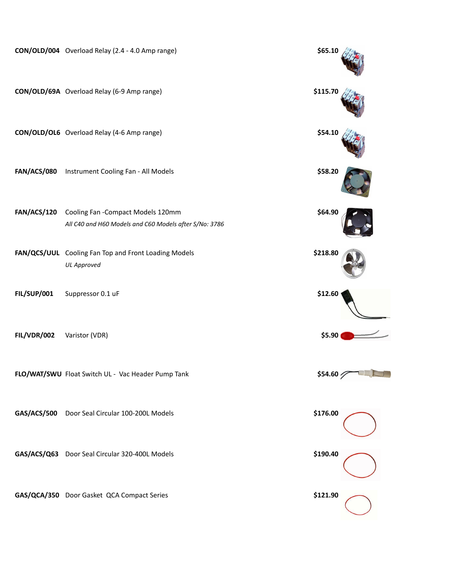|                    | CON/OLD/004 Overload Relay (2.4 - 4.0 Amp range)                                             | \$65.10  |
|--------------------|----------------------------------------------------------------------------------------------|----------|
|                    | CON/OLD/69A Overload Relay (6-9 Amp range)                                                   | \$115.70 |
|                    | CON/OLD/OL6 Overload Relay (4-6 Amp range)                                                   | \$54.10  |
|                    | FAN/ACS/080 Instrument Cooling Fan - All Models                                              | \$58.20  |
| FAN/ACS/120        | Cooling Fan - Compact Models 120mm<br>All C40 and H60 Models and C60 Models after S/No: 3786 | \$64.90  |
|                    | FAN/QCS/UUL Cooling Fan Top and Front Loading Models<br><b>UL Approved</b>                   | \$218.80 |
| <b>FIL/SUP/001</b> | Suppressor 0.1 uF                                                                            | \$12.60  |
|                    |                                                                                              |          |
| <b>FIL/VDR/002</b> | Varistor (VDR)                                                                               | \$5.90   |
|                    | FLO/WAT/SWU Float Switch UL - Vac Header Pump Tank                                           | \$54.60  |
|                    | GAS/ACS/500 Door Seal Circular 100-200L Models                                               | \$176.00 |
|                    | GAS/ACS/Q63 Door Seal Circular 320-400L Models                                               | \$190.40 |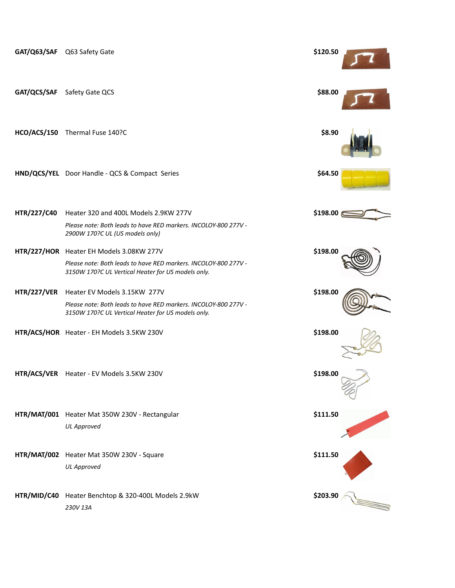|                    | GAT/Q63/SAF Q63 Safety Gate                                                                                           | \$120.50   |  |
|--------------------|-----------------------------------------------------------------------------------------------------------------------|------------|--|
| GAT/QCS/SAF        | Safety Gate QCS                                                                                                       | \$88.00    |  |
|                    | HCO/ACS/150 Thermal Fuse 140?C                                                                                        | \$8.90     |  |
|                    | HND/QCS/YEL Door Handle - QCS & Compact Series                                                                        | \$64.50    |  |
| HTR/227/C40        | Heater 320 and 400L Models 2.9KW 277V                                                                                 | \$198.00 @ |  |
|                    | Please note: Both leads to have RED markers. INCOLOY-800 277V -<br>2900W 170?C UL (US models only)                    |            |  |
|                    | HTR/227/HOR Heater EH Models 3.08KW 277V                                                                              | \$198.00   |  |
|                    | Please note: Both leads to have RED markers. INCOLOY-800 277V -<br>3150W 170?C UL Vertical Heater for US models only. |            |  |
| <b>HTR/227/VER</b> | Heater EV Models 3.15KW 277V                                                                                          | \$198.00   |  |
|                    | Please note: Both leads to have RED markers. INCOLOY-800 277V -<br>3150W 170?C UL Vertical Heater for US models only. |            |  |
|                    | HTR/ACS/HOR Heater - EH Models 3.5KW 230V                                                                             | \$198.00   |  |
|                    | HTR/ACS/VER Heater - EV Models 3.5KW 230V                                                                             | \$198.00   |  |
|                    | HTR/MAT/001 Heater Mat 350W 230V - Rectangular                                                                        | \$111.50   |  |
|                    | <b>UL Approved</b>                                                                                                    |            |  |
|                    | HTR/MAT/002 Heater Mat 350W 230V - Square                                                                             | \$111.50   |  |
|                    | <b>UL Approved</b>                                                                                                    |            |  |
| HTR/MID/C40        | Heater Benchtop & 320-400L Models 2.9kW                                                                               | \$203.90   |  |
|                    | 230V 13A                                                                                                              |            |  |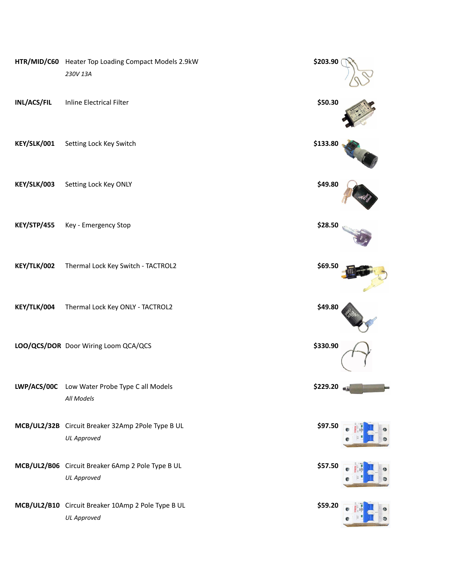|                    | HTR/MID/C60 Heater Top Loading Compact Models 2.9kW<br>230V 13A          | \$203.90 |  |
|--------------------|--------------------------------------------------------------------------|----------|--|
| INL/ACS/FIL        | Inline Electrical Filter                                                 | \$50.30  |  |
| KEY/SLK/001        | Setting Lock Key Switch                                                  | \$133.80 |  |
| KEY/SLK/003        | Setting Lock Key ONLY                                                    | \$49.80  |  |
| <b>KEY/STP/455</b> | Key - Emergency Stop                                                     | \$28.50  |  |
| KEY/TLK/002        | Thermal Lock Key Switch - TACTROL2                                       | \$69.50  |  |
| KEY/TLK/004        | Thermal Lock Key ONLY - TACTROL2                                         | \$49.80  |  |
|                    | LOO/QCS/DOR Door Wiring Loom QCA/QCS                                     | \$330.90 |  |
| LWP/ACS/00C        | Low Water Probe Type C all Models<br>All Models                          | \$229.20 |  |
|                    | MCB/UL2/32B Circuit Breaker 32Amp 2Pole Type B UL<br><b>UL Approved</b>  | \$97.50  |  |
|                    | MCB/UL2/B06 Circuit Breaker 6Amp 2 Pole Type B UL<br><b>UL Approved</b>  | \$57.50  |  |
|                    | MCB/UL2/B10 Circuit Breaker 10Amp 2 Pole Type B UL<br><b>UL Approved</b> | \$59.20  |  |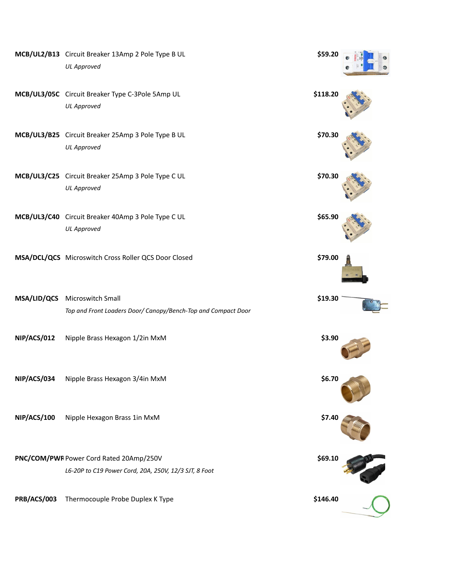|             | MCB/UL2/B13 Circuit Breaker 13Amp 2 Pole Type B UL<br><b>UL Approved</b>                         | \$59.20  |  |
|-------------|--------------------------------------------------------------------------------------------------|----------|--|
|             | MCB/UL3/05C Circuit Breaker Type C-3Pole 5Amp UL<br><b>UL Approved</b>                           | \$118.20 |  |
|             | MCB/UL3/B25 Circuit Breaker 25Amp 3 Pole Type B UL<br><b>UL Approved</b>                         | \$70.30  |  |
|             | MCB/UL3/C25 Circuit Breaker 25Amp 3 Pole Type C UL<br><b>UL Approved</b>                         | \$70.30  |  |
|             | MCB/UL3/C40 Circuit Breaker 40Amp 3 Pole Type C UL<br><b>UL Approved</b>                         | \$65.90  |  |
|             | MSA/DCL/QCS Microswitch Cross Roller QCS Door Closed                                             | \$79.00  |  |
|             | MSA/LID/QCS Microswitch Small<br>Top and Front Loaders Door/ Canopy/Bench-Top and Compact Door   | \$19.30  |  |
| NIP/ACS/012 | Nipple Brass Hexagon 1/2in MxM                                                                   | \$3.90   |  |
| NIP/ACS/034 | Nipple Brass Hexagon 3/4in MxM                                                                   | \$6.70   |  |
| NIP/ACS/100 | Nipple Hexagon Brass 1in MxM                                                                     | \$7.40   |  |
|             | PNC/COM/PWF Power Cord Rated 20Amp/250V<br>L6-20P to C19 Power Cord, 20A, 250V, 12/3 SJT, 8 Foot | \$69.10  |  |
| PRB/ACS/003 | Thermocouple Probe Duplex K Type                                                                 | \$146.40 |  |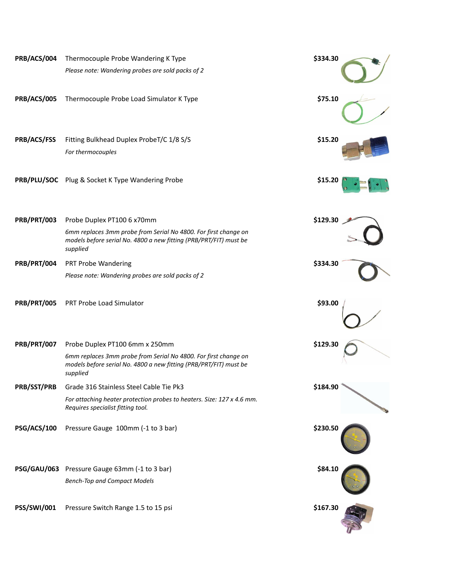| PRB/ACS/004        | Thermocouple Probe Wandering K Type                                                                                                              | \$334.30 |
|--------------------|--------------------------------------------------------------------------------------------------------------------------------------------------|----------|
|                    | Please note: Wandering probes are sold packs of 2                                                                                                |          |
| PRB/ACS/005        | Thermocouple Probe Load Simulator K Type                                                                                                         | \$75.10  |
| PRB/ACS/FSS        | Fitting Bulkhead Duplex ProbeT/C 1/8 S/S                                                                                                         | \$15.20  |
|                    | For thermocouples                                                                                                                                |          |
|                    | PRB/PLU/SOC Plug & Socket K Type Wandering Probe                                                                                                 | \$15.20  |
| <b>PRB/PRT/003</b> | Probe Duplex PT100 6 x70mm                                                                                                                       | \$129.30 |
|                    | 6mm replaces 3mm probe from Serial No 4800. For first change on<br>models before serial No. 4800 a new fitting (PRB/PRT/FIT) must be<br>supplied |          |
| PRB/PRT/004        | PRT Probe Wandering                                                                                                                              | \$334.30 |
|                    | Please note: Wandering probes are sold packs of 2                                                                                                |          |
| <b>PRB/PRT/005</b> | PRT Probe Load Simulator                                                                                                                         | \$93.00  |
| PRB/PRT/007        | Probe Duplex PT100 6mm x 250mm                                                                                                                   | \$129.30 |
|                    | 6mm replaces 3mm probe from Serial No 4800. For first change on<br>models before serial No. 4800 a new fitting (PRB/PRT/FIT) must be<br>supplied |          |
| PRB/SST/PRB        | Grade 316 Stainless Steel Cable Tie Pk3                                                                                                          | \$184.90 |
|                    | For attaching heater protection probes to heaters. Size: 127 x 4.6 mm.<br>Requires specialist fitting tool.                                      |          |
| PSG/ACS/100        | Pressure Gauge 100mm (-1 to 3 bar)                                                                                                               | \$230.50 |
|                    | PSG/GAU/063 Pressure Gauge 63mm (-1 to 3 bar)                                                                                                    | \$84.10  |
|                    | <b>Bench-Top and Compact Models</b>                                                                                                              |          |
| PSS/SWI/001        | Pressure Switch Range 1.5 to 15 psi                                                                                                              | \$167.30 |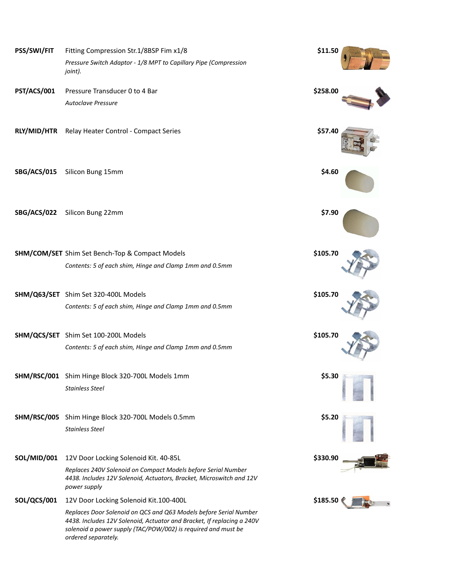| PSS/SWI/FIT        | Fitting Compression Str.1/8BSP Fim x1/8                                                                                                                                                                                             | \$11.50  |  |
|--------------------|-------------------------------------------------------------------------------------------------------------------------------------------------------------------------------------------------------------------------------------|----------|--|
|                    | Pressure Switch Adaptor - 1/8 MPT to Capillary Pipe (Compression<br>joint).                                                                                                                                                         |          |  |
| PST/ACS/001        | Pressure Transducer 0 to 4 Bar                                                                                                                                                                                                      | \$258.00 |  |
|                    | <b>Autoclave Pressure</b>                                                                                                                                                                                                           |          |  |
| <b>RLY/MID/HTR</b> | Relay Heater Control - Compact Series                                                                                                                                                                                               | \$57.40  |  |
| SBG/ACS/015        | Silicon Bung 15mm                                                                                                                                                                                                                   | \$4.60   |  |
| SBG/ACS/022        | Silicon Bung 22mm                                                                                                                                                                                                                   | \$7.90   |  |
|                    | <b>SHM/COM/SET</b> Shim Set Bench-Top & Compact Models                                                                                                                                                                              | \$105.70 |  |
|                    | Contents: 5 of each shim, Hinge and Clamp 1mm and 0.5mm                                                                                                                                                                             |          |  |
|                    | SHM/Q63/SET Shim Set 320-400L Models                                                                                                                                                                                                | \$105.70 |  |
|                    | Contents: 5 of each shim, Hinge and Clamp 1mm and 0.5mm                                                                                                                                                                             |          |  |
|                    | SHM/QCS/SET Shim Set 100-200L Models                                                                                                                                                                                                | \$105.70 |  |
|                    | Contents: 5 of each shim, Hinge and Clamp 1mm and 0.5mm                                                                                                                                                                             |          |  |
|                    | SHM/RSC/001 Shim Hinge Block 320-700L Models 1mm                                                                                                                                                                                    | \$5.30   |  |
|                    | <b>Stainless Steel</b>                                                                                                                                                                                                              |          |  |
|                    | SHM/RSC/005 Shim Hinge Block 320-700L Models 0.5mm                                                                                                                                                                                  | \$5.20   |  |
|                    | <b>Stainless Steel</b>                                                                                                                                                                                                              |          |  |
| <b>SOL/MID/001</b> | 12V Door Locking Solenoid Kit. 40-85L                                                                                                                                                                                               | \$330.90 |  |
|                    | Replaces 240V Solenoid on Compact Models before Serial Number<br>4438. Includes 12V Solenoid, Actuators, Bracket, Microswitch and 12V<br>power supply                                                                               |          |  |
| SOL/QCS/001        | 12V Door Locking Solenoid Kit.100-400L                                                                                                                                                                                              | \$185.50 |  |
|                    | Replaces Door Solenoid on QCS and Q63 Models before Serial Number<br>4438. Includes 12V Solenoid, Actuator and Bracket, If replacing a 240V<br>solenoid a power supply (TAC/POW/002) is required and must be<br>ordered separately. |          |  |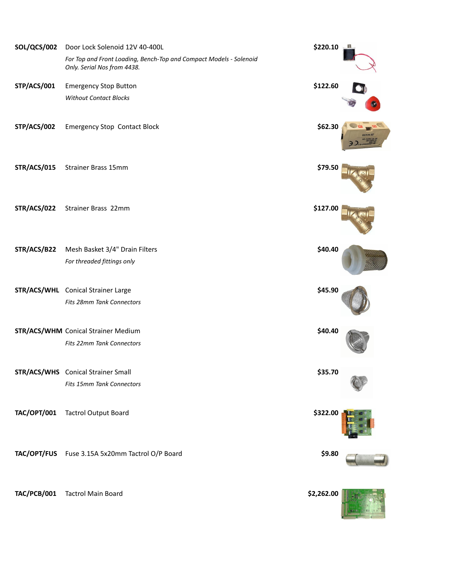| <b>SOL/QCS/002</b> | Door Lock Solenoid 12V 40-400L                                                                    | \$220.10   | Ш |
|--------------------|---------------------------------------------------------------------------------------------------|------------|---|
|                    | For Top and Front Loading, Bench-Top and Compact Models - Solenoid<br>Only. Serial Nos from 4438. |            |   |
| STP/ACS/001        | <b>Emergency Stop Button</b>                                                                      | \$122.60   |   |
|                    | <b>Without Contact Blocks</b>                                                                     |            |   |
| STP/ACS/002        | <b>Emergency Stop Contact Block</b>                                                               | \$62.30    |   |
| <b>STR/ACS/015</b> | <b>Strainer Brass 15mm</b>                                                                        | \$79.50    |   |
| <b>STR/ACS/022</b> | Strainer Brass 22mm                                                                               | \$127.00   |   |
| STR/ACS/B22        | Mesh Basket 3/4" Drain Filters                                                                    | \$40.40    |   |
|                    | For threaded fittings only                                                                        |            |   |
|                    | STR/ACS/WHL Conical Strainer Large                                                                | \$45.90    |   |
|                    | Fits 28mm Tank Connectors                                                                         |            |   |
|                    | <b>STR/ACS/WHM</b> Conical Strainer Medium                                                        | \$40.40    |   |
|                    | Fits 22mm Tank Connectors                                                                         |            |   |
|                    | <b>STR/ACS/WHS</b> Conical Strainer Small                                                         | \$35.70    |   |
|                    | <b>Fits 15mm Tank Connectors</b>                                                                  |            |   |
| <b>TAC/OPT/001</b> | <b>Tactrol Output Board</b>                                                                       | \$322.00   |   |
|                    | TAC/OPT/FUS Fuse 3.15A 5x20mm Tactrol O/P Board                                                   | \$9.80     |   |
| TAC/PCB/001        | <b>Tactrol Main Board</b>                                                                         | \$2,262.00 |   |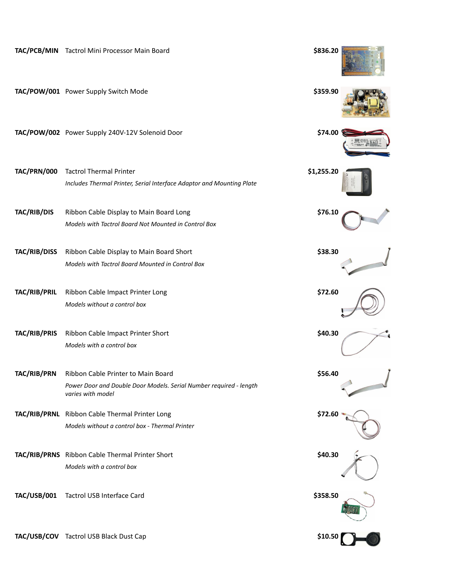|                     | TAC/PCB/MIN Tactrol Mini Processor Main Board                                           | \$836.20   |
|---------------------|-----------------------------------------------------------------------------------------|------------|
|                     | TAC/POW/001 Power Supply Switch Mode                                                    | \$359.90   |
|                     | TAC/POW/002 Power Supply 240V-12V Solenoid Door                                         | \$74.00    |
| TAC/PRN/000         | <b>Tactrol Thermal Printer</b>                                                          | \$1,255.20 |
|                     | Includes Thermal Printer, Serial Interface Adaptor and Mounting Plate                   |            |
| TAC/RIB/DIS         | Ribbon Cable Display to Main Board Long                                                 | \$76.10    |
|                     | Models with Tactrol Board Not Mounted in Control Box                                    |            |
| <b>TAC/RIB/DISS</b> | Ribbon Cable Display to Main Board Short                                                | \$38.30    |
|                     | Models with Tactrol Board Mounted in Control Box                                        |            |
| TAC/RIB/PRIL        | Ribbon Cable Impact Printer Long                                                        | \$72.60    |
|                     | Models without a control box                                                            |            |
| TAC/RIB/PRIS        | Ribbon Cable Impact Printer Short                                                       | \$40.30    |
|                     | Models with a control box                                                               |            |
| <b>TAC/RIB/PRN</b>  | Ribbon Cable Printer to Main Board                                                      | \$56.40    |
|                     | Power Door and Double Door Models. Serial Number required - length<br>varies with model |            |
|                     | TAC/RIB/PRNL Ribbon Cable Thermal Printer Long                                          | \$72.60    |
|                     | Models without a control box - Thermal Printer                                          |            |
|                     | TAC/RIB/PRNS Ribbon Cable Thermal Printer Short                                         | \$40.30    |
|                     | Models with a control box                                                               |            |
| <b>TAC/USB/001</b>  | Tactrol USB Interface Card                                                              | \$358.50   |
|                     | TAC/USB/COV Tactrol USB Black Dust Cap                                                  | \$10.50    |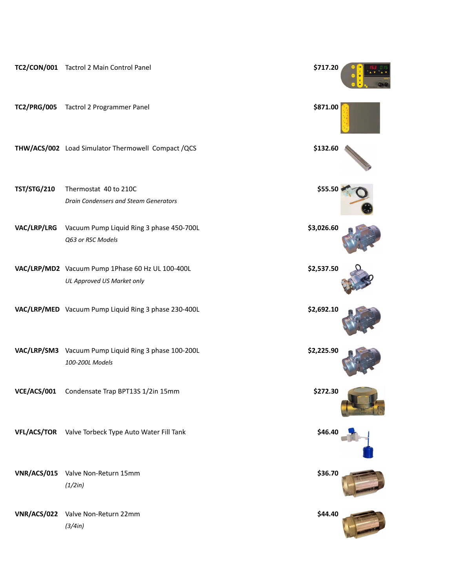|                    | TC2/CON/001 Tactrol 2 Main Control Panel                                       | \$717.20   |  |
|--------------------|--------------------------------------------------------------------------------|------------|--|
| <b>TC2/PRG/005</b> | Tactrol 2 Programmer Panel                                                     | \$871.00   |  |
|                    | THW/ACS/002 Load Simulator Thermowell Compact /QCS                             | \$132.60   |  |
| <b>TST/STG/210</b> | Thermostat 40 to 210C<br>Drain Condensers and Steam Generators                 | \$55.50    |  |
| VAC/LRP/LRG        | Vacuum Pump Liquid Ring 3 phase 450-700L<br>Q63 or RSC Models                  | \$3,026.60 |  |
|                    | VAC/LRP/MD2 Vacuum Pump 1Phase 60 Hz UL 100-400L<br>UL Approved US Market only | \$2,537.50 |  |
|                    | VAC/LRP/MED Vacuum Pump Liquid Ring 3 phase 230-400L                           | \$2,692.10 |  |
|                    | VAC/LRP/SM3 Vacuum Pump Liquid Ring 3 phase 100-200L<br>100-200L Models        | \$2,225.90 |  |
|                    | VCE/ACS/001 Condensate Trap BPT13S 1/2in 15mm                                  | \$272.30   |  |
|                    | VFL/ACS/TOR Valve Torbeck Type Auto Water Fill Tank                            | \$46.40    |  |
| <b>VNR/ACS/015</b> | Valve Non-Return 15mm<br>(1/2in)                                               | \$36.70    |  |
| <b>VNR/ACS/022</b> | Valve Non-Return 22mm<br>(3/4in)                                               | \$44.40    |  |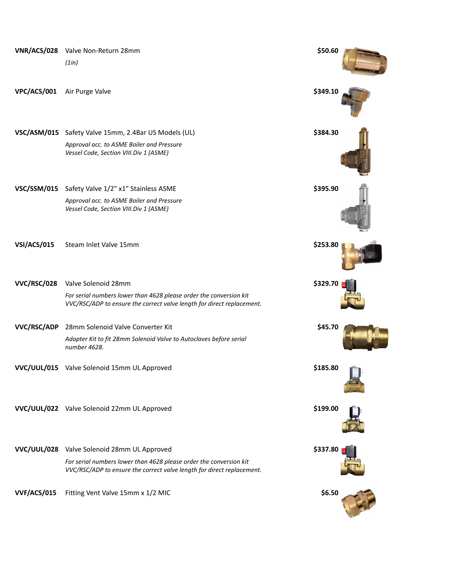| <b>VNR/ACS/028</b> | Valve Non-Return 28mm                                                                                                                        | \$50.60  |  |
|--------------------|----------------------------------------------------------------------------------------------------------------------------------------------|----------|--|
|                    | (1in)                                                                                                                                        |          |  |
| VPC/ACS/001        | Air Purge Valve                                                                                                                              | \$349.10 |  |
|                    | VSC/ASM/015 Safety Valve 15mm, 2.4Bar US Models (UL)                                                                                         | \$384.30 |  |
|                    | Approval acc. to ASME Boiler and Pressure<br>Vessel Code, Section VIII. Div 1 (ASME)                                                         |          |  |
| <b>VSC/SSM/015</b> | Safety Valve 1/2" x1" Stainless ASME                                                                                                         | \$395.90 |  |
|                    | Approval acc. to ASME Boiler and Pressure<br>Vessel Code, Section VIII. Div 1 (ASME)                                                         |          |  |
| VSI/ACS/015        | Steam Inlet Valve 15mm                                                                                                                       | \$253.80 |  |
| <b>VVC/RSC/028</b> | Valve Solenoid 28mm                                                                                                                          | \$329.70 |  |
|                    | For serial numbers lower than 4628 please order the conversion kit<br>VVC/RSC/ADP to ensure the correct valve length for direct replacement. |          |  |
| <b>VVC/RSC/ADP</b> | 28mm Solenoid Valve Converter Kit                                                                                                            | \$45.70  |  |
|                    | Adapter Kit to fit 28mm Solenoid Valve to Autoclaves before serial<br>number 4628.                                                           |          |  |
|                    | VVC/UUL/015 Valve Solenoid 15mm UL Approved                                                                                                  | \$185.80 |  |
|                    | VVC/UUL/022 Valve Solenoid 22mm UL Approved                                                                                                  | \$199.00 |  |
|                    | VVC/UUL/028 Valve Solenoid 28mm UL Approved                                                                                                  | \$337.80 |  |
|                    | For serial numbers lower than 4628 please order the conversion kit<br>VVC/RSC/ADP to ensure the correct valve length for direct replacement. |          |  |
| <b>VVF/ACS/015</b> | Fitting Vent Valve 15mm x 1/2 MIC                                                                                                            | \$6.50   |  |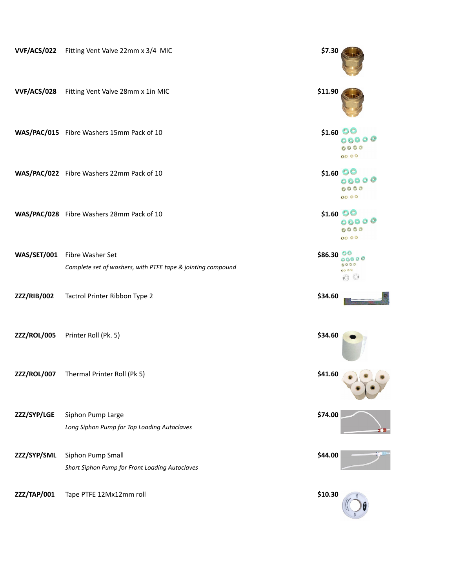| VVF/ACS/022        | Fitting Vent Valve 22mm x 3/4 MIC                                               | \$7.30         |                                               |
|--------------------|---------------------------------------------------------------------------------|----------------|-----------------------------------------------|
| <b>VVF/ACS/028</b> | Fitting Vent Valve 28mm x 1in MIC                                               | \$11.90        |                                               |
|                    | WAS/PAC/015 Fibre Washers 15mm Pack of 10                                       | \$1.60 $\circ$ | 0000<br>00 00                                 |
|                    | WAS/PAC/022 Fibre Washers 22mm Pack of 10                                       | $$1.60$ OO     | 00000<br>0000<br>00 00                        |
|                    | WAS/PAC/028 Fibre Washers 28mm Pack of 10                                       | $$1.60$ OO     | 00000<br>0000<br>00 00                        |
| <b>WAS/SET/001</b> | Fibre Washer Set<br>Complete set of washers, with PTFE tape & jointing compound | \$86.30        | $\circ\circ$<br>00000<br>0000<br>00 00<br>(0) |
| ZZZ/RIB/002        | Tactrol Printer Ribbon Type 2                                                   | \$34.60        |                                               |
| ZZZ/ROL/005        | Printer Roll (Pk. 5)                                                            | \$34.60        |                                               |
| ZZZ/ROL/007        | Thermal Printer Roll (Pk 5)                                                     | \$41.60        |                                               |
| ZZZ/SYP/LGE        | Siphon Pump Large<br>Long Siphon Pump for Top Loading Autoclaves                | \$74.00        |                                               |
| ZZZ/SYP/SML        | Siphon Pump Small<br>Short Siphon Pump for Front Loading Autoclaves             | \$44.00        |                                               |
| ZZZ/TAP/001        | Tape PTFE 12Mx12mm roll                                                         | \$10.30        |                                               |